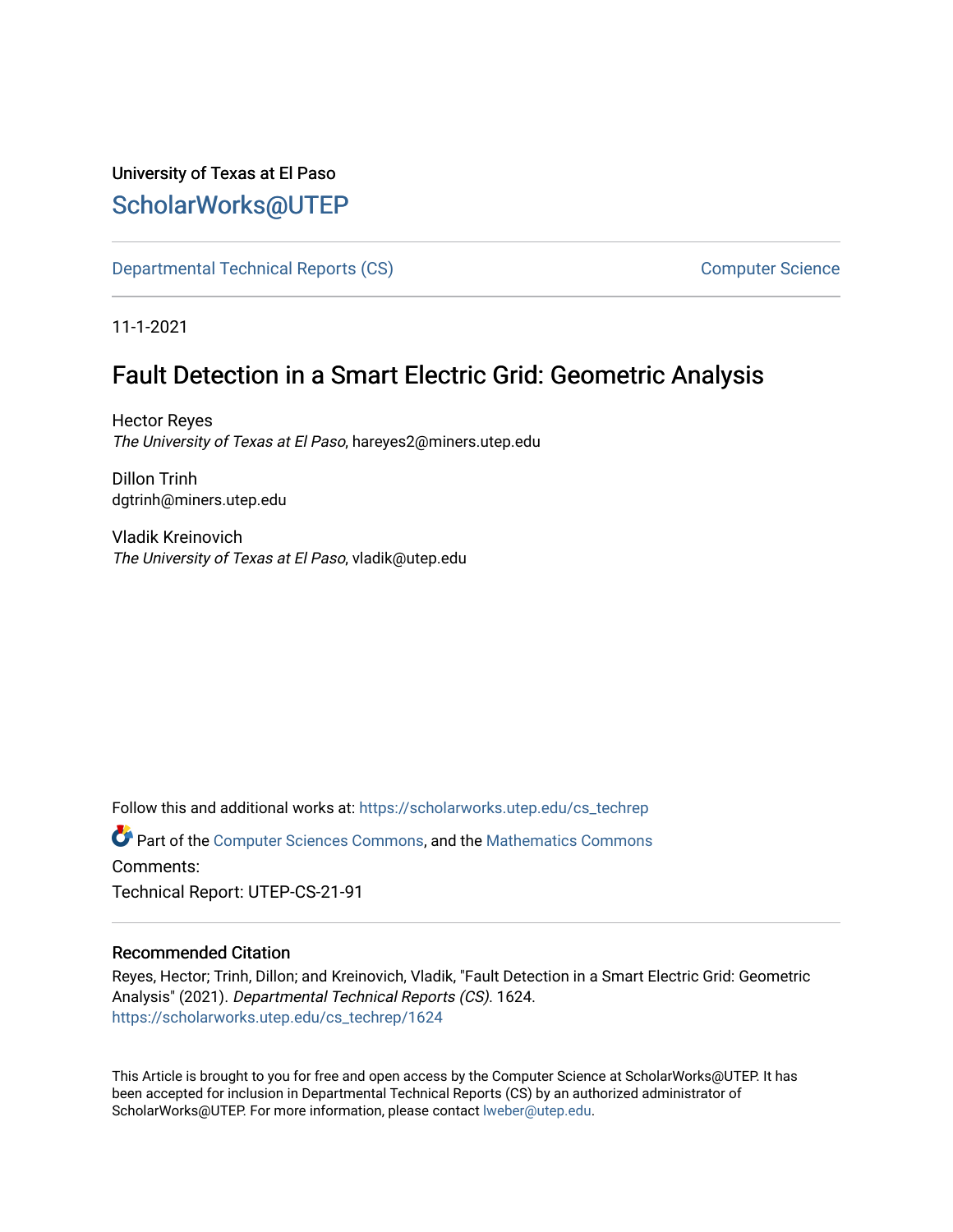## University of Texas at El Paso [ScholarWorks@UTEP](https://scholarworks.utep.edu/)

[Departmental Technical Reports \(CS\)](https://scholarworks.utep.edu/cs_techrep) [Computer Science](https://scholarworks.utep.edu/computer) 

11-1-2021

# Fault Detection in a Smart Electric Grid: Geometric Analysis

Hector Reyes The University of Texas at El Paso, hareyes2@miners.utep.edu

Dillon Trinh dgtrinh@miners.utep.edu

Vladik Kreinovich The University of Texas at El Paso, vladik@utep.edu

Follow this and additional works at: [https://scholarworks.utep.edu/cs\\_techrep](https://scholarworks.utep.edu/cs_techrep?utm_source=scholarworks.utep.edu%2Fcs_techrep%2F1624&utm_medium=PDF&utm_campaign=PDFCoverPages) 

Part of the [Computer Sciences Commons](http://network.bepress.com/hgg/discipline/142?utm_source=scholarworks.utep.edu%2Fcs_techrep%2F1624&utm_medium=PDF&utm_campaign=PDFCoverPages), and the [Mathematics Commons](http://network.bepress.com/hgg/discipline/174?utm_source=scholarworks.utep.edu%2Fcs_techrep%2F1624&utm_medium=PDF&utm_campaign=PDFCoverPages)  Comments:

Technical Report: UTEP-CS-21-91

## Recommended Citation

Reyes, Hector; Trinh, Dillon; and Kreinovich, Vladik, "Fault Detection in a Smart Electric Grid: Geometric Analysis" (2021). Departmental Technical Reports (CS). 1624. [https://scholarworks.utep.edu/cs\\_techrep/1624](https://scholarworks.utep.edu/cs_techrep/1624?utm_source=scholarworks.utep.edu%2Fcs_techrep%2F1624&utm_medium=PDF&utm_campaign=PDFCoverPages) 

This Article is brought to you for free and open access by the Computer Science at ScholarWorks@UTEP. It has been accepted for inclusion in Departmental Technical Reports (CS) by an authorized administrator of ScholarWorks@UTEP. For more information, please contact [lweber@utep.edu](mailto:lweber@utep.edu).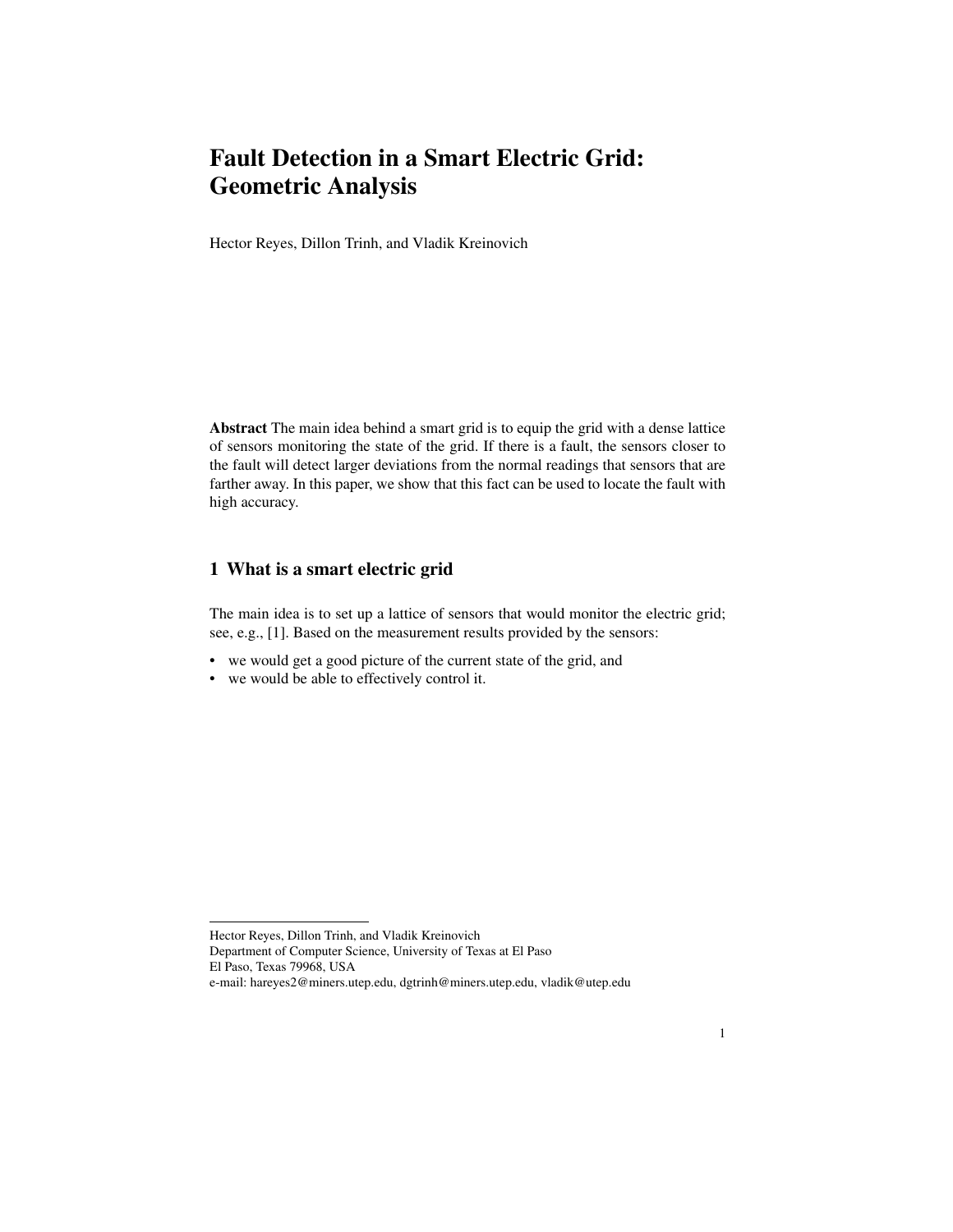## Fault Detection in a Smart Electric Grid: Geometric Analysis

Hector Reyes, Dillon Trinh, and Vladik Kreinovich

Abstract The main idea behind a smart grid is to equip the grid with a dense lattice of sensors monitoring the state of the grid. If there is a fault, the sensors closer to the fault will detect larger deviations from the normal readings that sensors that are farther away. In this paper, we show that this fact can be used to locate the fault with high accuracy.

## 1 What is a smart electric grid

The main idea is to set up a lattice of sensors that would monitor the electric grid; see, e.g., [1]. Based on the measurement results provided by the sensors:

- we would get a good picture of the current state of the grid, and
- we would be able to effectively control it.

Hector Reyes, Dillon Trinh, and Vladik Kreinovich Department of Computer Science, University of Texas at El Paso El Paso, Texas 79968, USA e-mail: hareyes2@miners.utep.edu, dgtrinh@miners.utep.edu, vladik@utep.edu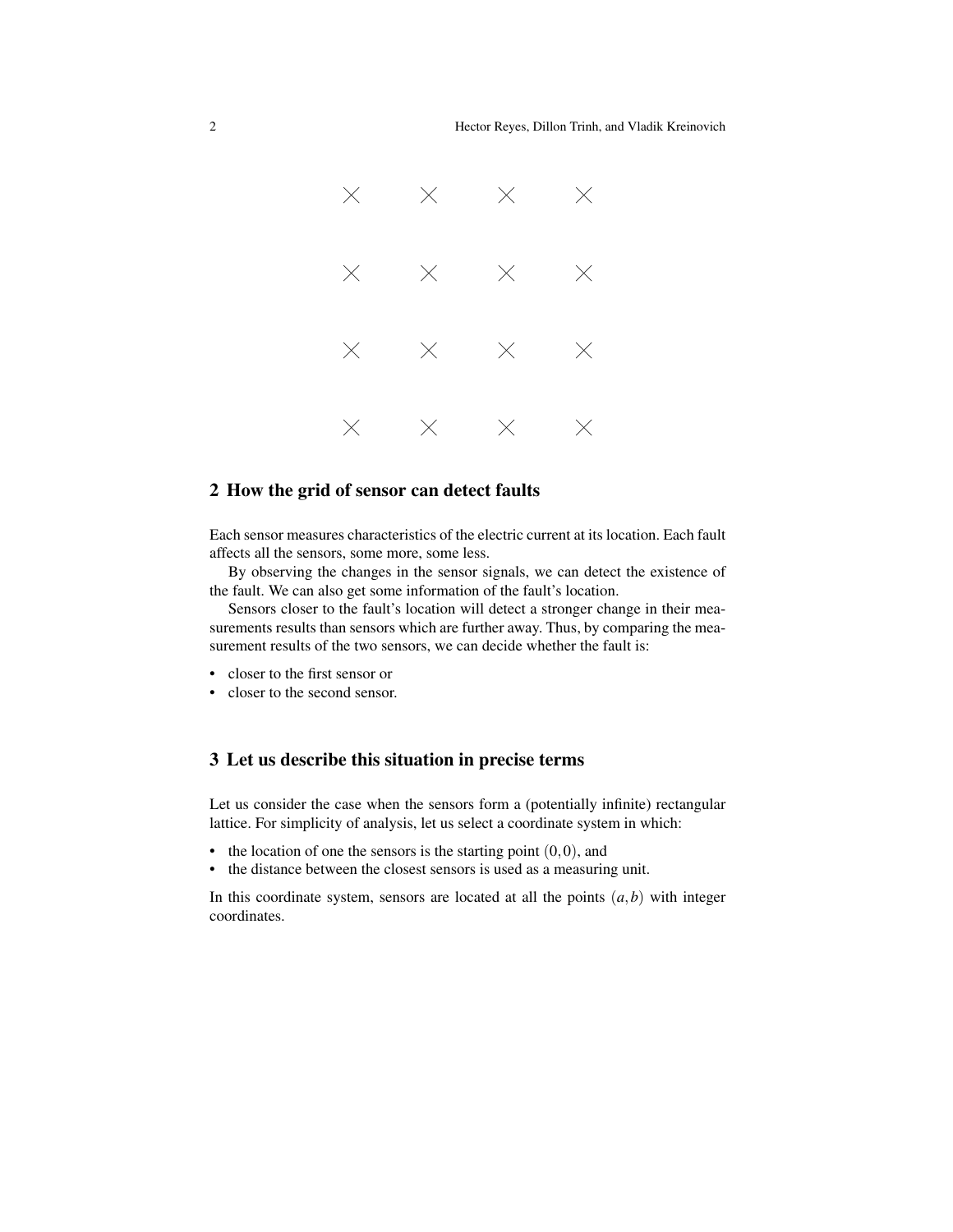

#### 2 How the grid of sensor can detect faults

Each sensor measures characteristics of the electric current at its location. Each fault affects all the sensors, some more, some less.

By observing the changes in the sensor signals, we can detect the existence of the fault. We can also get some information of the fault's location.

Sensors closer to the fault's location will detect a stronger change in their measurements results than sensors which are further away. Thus, by comparing the measurement results of the two sensors, we can decide whether the fault is:

- closer to the first sensor or
- closer to the second sensor.

### 3 Let us describe this situation in precise terms

Let us consider the case when the sensors form a (potentially infinite) rectangular lattice. For simplicity of analysis, let us select a coordinate system in which:

- the location of one the sensors is the starting point  $(0,0)$ , and
- the distance between the closest sensors is used as a measuring unit.

In this coordinate system, sensors are located at all the points  $(a,b)$  with integer coordinates.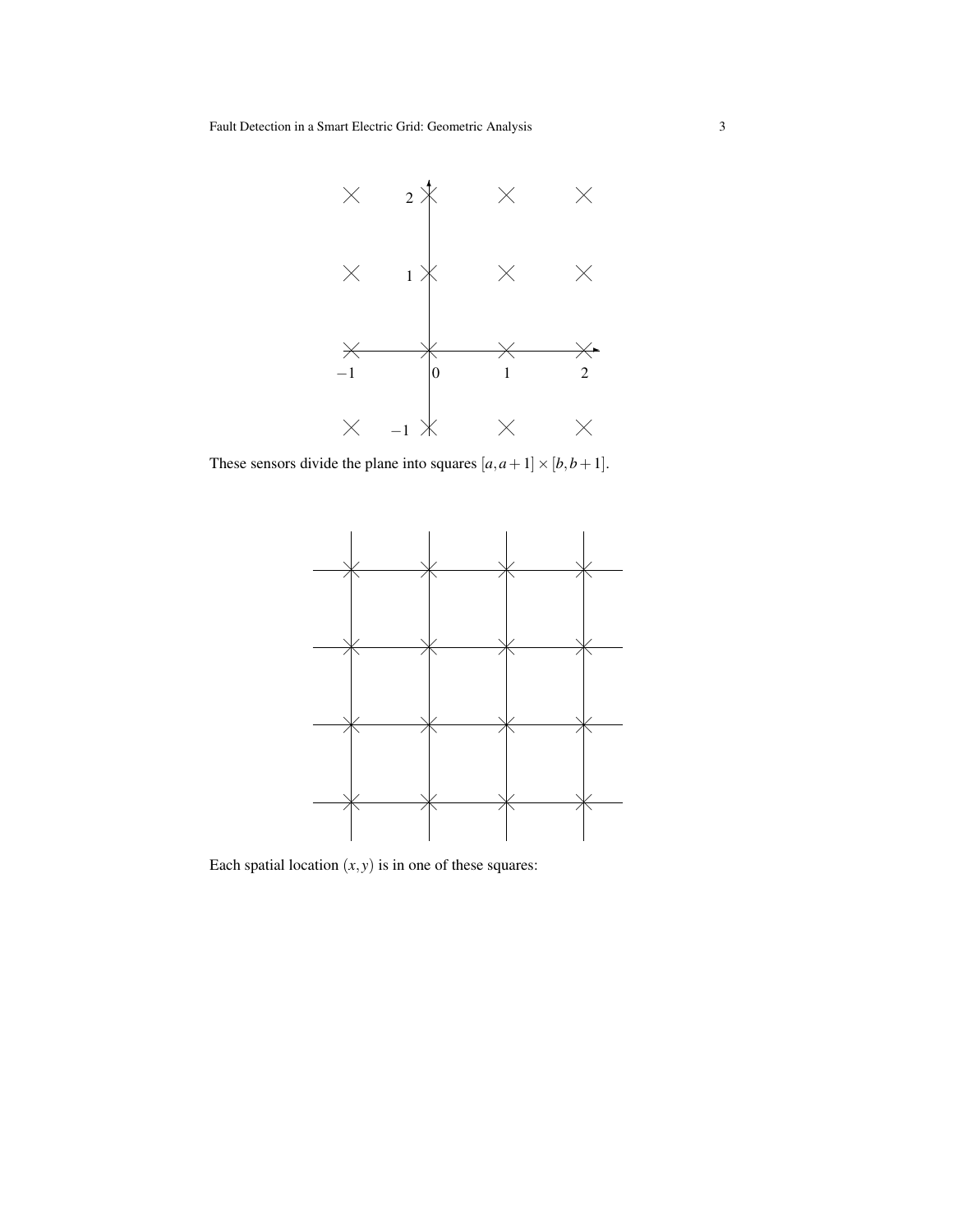

These sensors divide the plane into squares  $[a, a+1] \times [b, b+1]$ .



Each spatial location  $(x, y)$  is in one of these squares: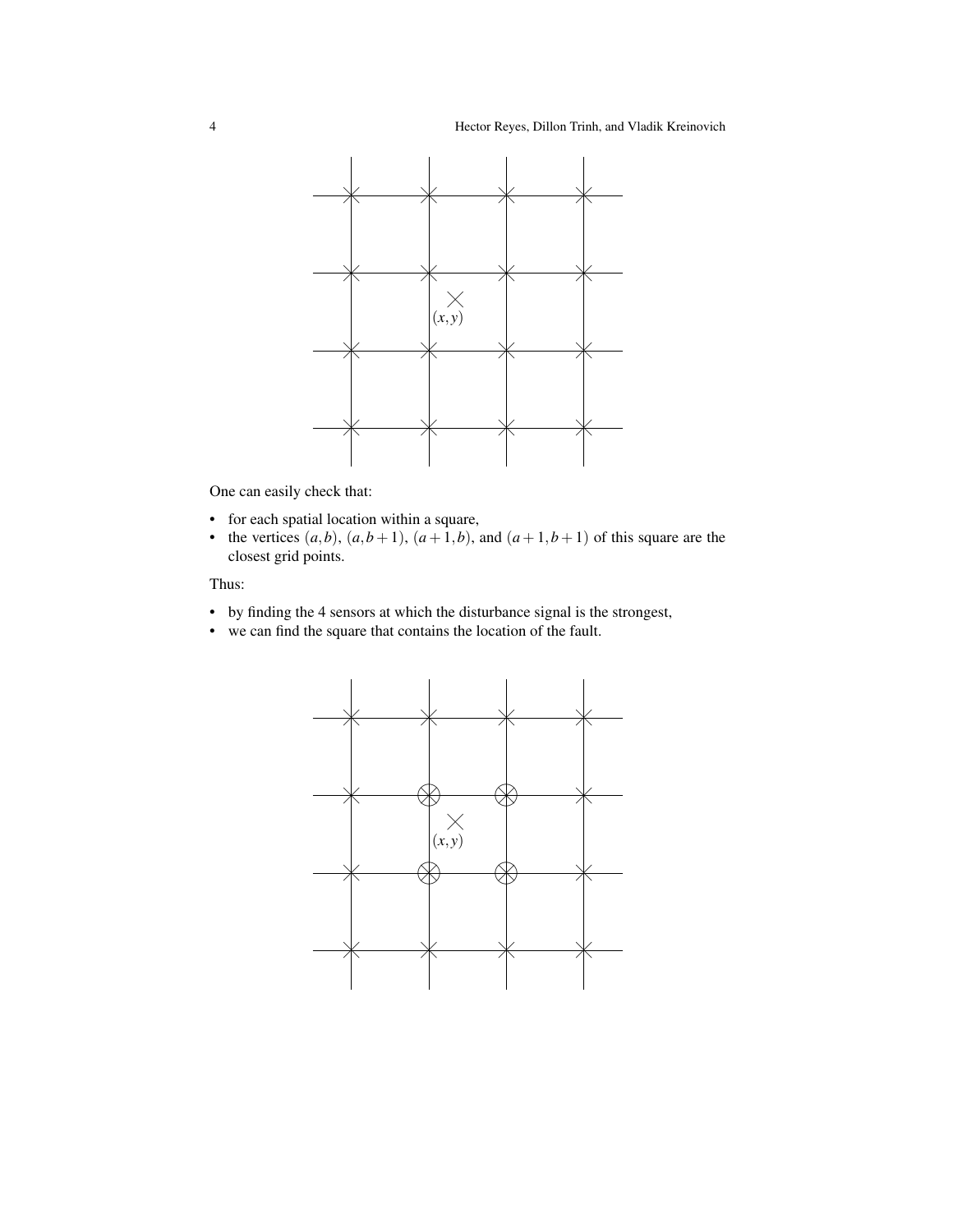

One can easily check that:

- for each spatial location within a square,
- the vertices  $(a,b)$ ,  $(a,b+1)$ ,  $(a+1,b)$ , and  $(a+1,b+1)$  of this square are the closest grid points.

#### Thus:

- by finding the 4 sensors at which the disturbance signal is the strongest,
- we can find the square that contains the location of the fault.

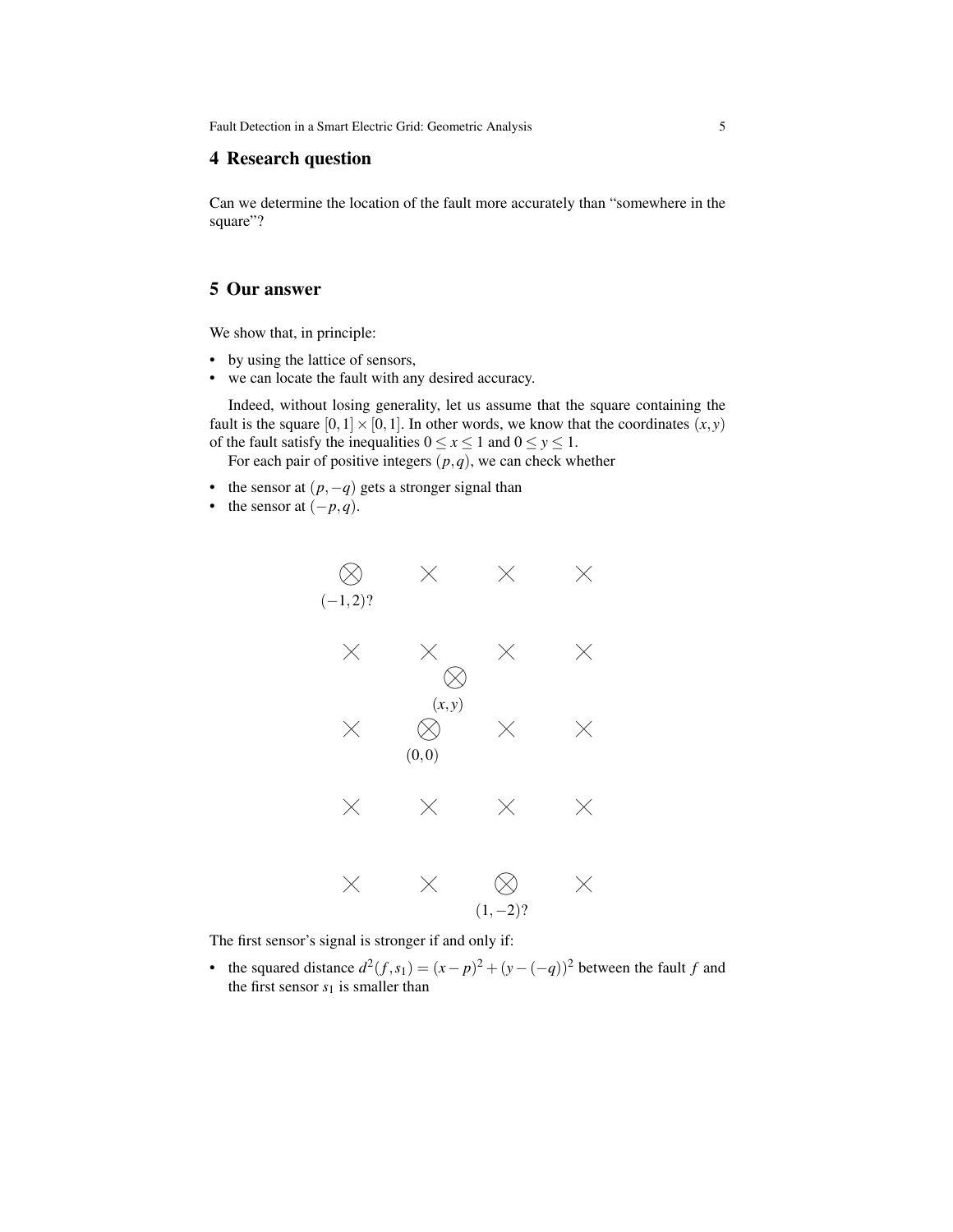Fault Detection in a Smart Electric Grid: Geometric Analysis 5

#### 4 Research question

Can we determine the location of the fault more accurately than "somewhere in the square"?

#### 5 Our answer

We show that, in principle:

- by using the lattice of sensors,
- we can locate the fault with any desired accuracy.

Indeed, without losing generality, let us assume that the square containing the fault is the square  $[0,1] \times [0,1]$ . In other words, we know that the coordinates  $(x, y)$ of the fault satisfy the inequalities  $0 \le x \le 1$  and  $0 \le y \le 1$ .

For each pair of positive integers  $(p, q)$ , we can check whether

- the sensor at  $(p, -q)$  gets a stronger signal than
- the sensor at  $(-p,q)$ .



The first sensor's signal is stronger if and only if:

• the squared distance  $d^2(f, s_1) = (x - p)^2 + (y - (-q))^2$  between the fault *f* and the first sensor  $s_1$  is smaller than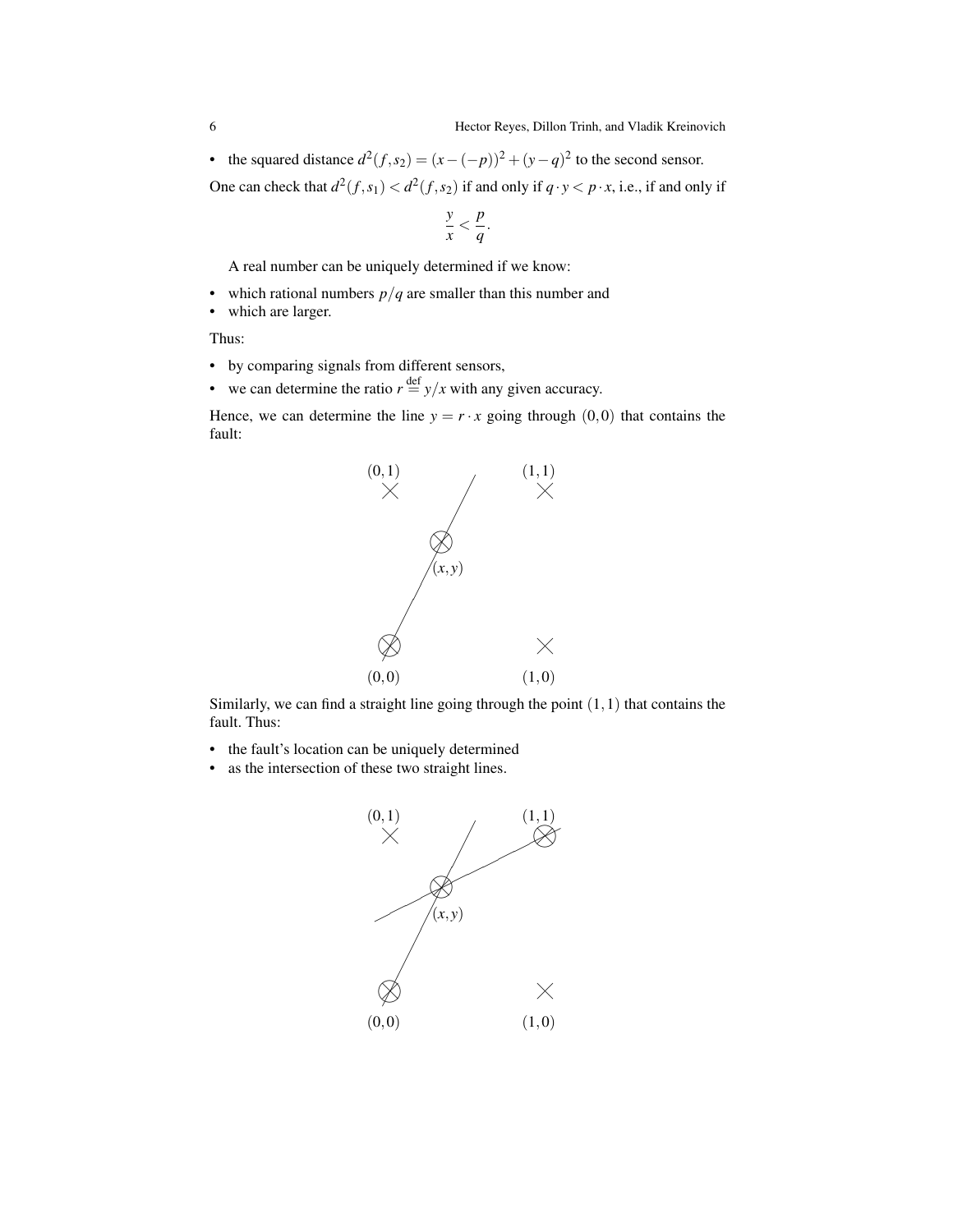• the squared distance  $d^2(f, s_2) = (x - (-p))^2 + (y - q)^2$  to the second sensor.

One can check that  $d^2(f, s_1) < d^2(f, s_2)$  if and only if  $q \cdot y < p \cdot x$ , i.e., if and only if

$$
\frac{y}{x} < \frac{p}{q}.
$$

A real number can be uniquely determined if we know:

- which rational numbers  $p/q$  are smaller than this number and
- which are larger.

Thus:

- by comparing signals from different sensors,
- we can determine the ratio  $r \stackrel{\text{def}}{=} y/x$  with any given accuracy.

Hence, we can determine the line  $y = r \cdot x$  going through (0,0) that contains the fault:



Similarly, we can find a straight line going through the point  $(1,1)$  that contains the fault. Thus:

- the fault's location can be uniquely determined
- as the intersection of these two straight lines.